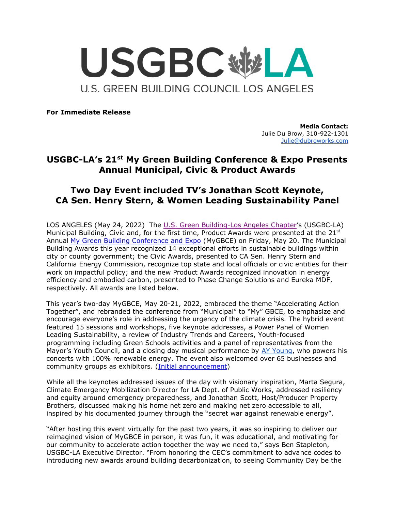

**For Immediate Release**

**Media Contact:** Julie Du Brow, 310-922-1301 [Julie@dubroworks.com](mailto:Julie@dubroworks.com)

# **USGBC-LA's 21st My Green Building Conference & Expo Presents Annual Municipal, Civic & Product Awards**

# **Two Day Event included TV's Jonathan Scott Keynote, CA Sen. Henry Stern, & Women Leading Sustainability Panel**

LOS ANGELES (May 24, 2022) The [U.S. Green Building-Los Angeles Chapter](https://usgbc-la.org/)'s (USGBC-LA) Municipal Building, Civic and, for the first time, Product Awards were presented at the 21st Annual [My Green Building Conference and Expo](https://usgbc-la.org/programs/mgbce/) (MyGBCE) on Friday, May 20. The Municipal Building Awards this year recognized 14 exceptional efforts in sustainable buildings within city or county government; the Civic Awards, presented to CA Sen. Henry Stern and California Energy Commission, recognize top state and local officials or civic entities for their work on impactful policy; and the new Product Awards recognized innovation in energy efficiency and embodied carbon, presented to Phase Change Solutions and Eureka MDF, respectively. All awards are listed below.

This year's two-day MyGBCE, May 20-21, 2022, embraced the theme "Accelerating Action Together", and rebranded the conference from "Municipal" to "My" GBCE, to emphasize and encourage everyone's role in addressing the urgency of the climate crisis. The hybrid event featured 15 sessions and workshops, five keynote addresses, a Power Panel of Women Leading Sustainability, a review of Industry Trends and Careers, Youth-focused programming including Green Schools activities and a panel of representatives from the Mayor's Youth Council, and a closing day musical performance by [AY Young,](https://www.aymusik.com/) who powers his concerts with 100% renewable energy. The event also welcomed over 65 businesses and community groups as exhibitors. [\(Initial announcement\)](https://usgbc-la.org/wp-content/uploads/2022/04/MGBCE-2022_PRESS-RELEASE_MAIN.pdf)

While all the keynotes addressed issues of the day with visionary inspiration, Marta Segura, Climate Emergency Mobilization Director for LA Dept. of Public Works, addressed resiliency and equity around emergency preparedness, and Jonathan Scott, Host/Producer Property Brothers, discussed making his home net zero and making net zero accessible to all, inspired by his documented journey through the "secret war against renewable energy".

"After hosting this event virtually for the past two years, it was so inspiring to deliver our reimagined vision of MyGBCE in person, it was fun, it was educational, and motivating for our community to accelerate action together the way we need to," says Ben Stapleton, USGBC-LA Executive Director. "From honoring the CEC's commitment to advance codes to introducing new awards around building decarbonization, to seeing Community Day be the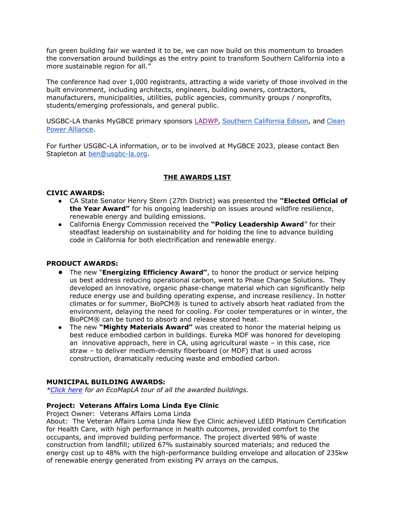fun green building fair we wanted it to be, we can now build on this momentum to broaden the conversation around buildings as the entry point to transform Southern California into a more sustainable region for all."

The conference had over 1,000 registrants, attracting a wide variety of those involved in the built environment, including architects, engineers, building owners, contractors, manufacturers, municipalities, utilities, public agencies, community groups / nonprofits, students/emerging professionals, and general public.

USGBC-LA thanks MyGBCE primary sponsors [LADWP](https://www.ladwp.com/ladwp/faces/ladwp?_adf.ctrl-state=3fgyzcuk3_4&_afrLoop=238140520488971)[,](https://www.socalgas.com/) [Southern California Edison,](https://www.sce.com/) and [Clean](https://cleanpoweralliance.org/)  [Power Alliance.](https://cleanpoweralliance.org/)

For further USGBC-LA information, or to be involved at MyGBCE 2023, please contact Ben Stapleton at [ben@usgbc-la.org.](mailto:ben@usgbc-la.org)

# **THE AWARDS LIST**

## **CIVIC AWARDS:**

- CA State Senator Henry Stern (27th District) was presented the **"Elected Official of the Year Award"** for his ongoing leadership on issues around wildfire resilience, renewable energy and building emissions.
- California Energy Commission received the **"Policy Leadership Award**" for their steadfast leadership on sustainability and for holding the line to advance building code in California for both electrification and renewable energy.

# **PRODUCT AWARDS:**

- The new "**Energizing Efficiency Award"**, to honor the product or service helping us best address reducing operational carbon, went to Phase Change Solutions. They developed an innovative, organic phase-change material which can significantly help reduce energy use and building operating expense, and increase resiliency. In hotter climates or for summer, BioPCM® is tuned to actively absorb heat radiated from the environment, delaying the need for cooling. For cooler temperatures or in winter, the BioPCM® can be tuned to absorb and release stored heat.
- The new **"Mighty Materials Award"** was created to honor the material helping us best reduce embodied carbon in buildings. Eureka MDF was honored for developing an innovative approach, here in CA, using agricultural waste – in this case, rice straw – to deliver medium-density fiberboard (or MDF) that is used across construction, dramatically reducing waste and embodied carbon.

#### **MUNICIPAL BUILDING AWARDS:**

*[\\*Click here](https://map.concept3d.com/?id=901#!t/3616:3) for an EcoMapLA tour of all the awarded buildings.*

#### **Project: Veterans Affairs Loma Linda Eye Clinic**

Project Owner: Veterans Affairs Loma Linda

About: The Veteran Affairs Loma Linda New Eye Clinic achieved LEED Platinum Certification for Health Care, with high performance in health outcomes, provided comfort to the occupants, and improved building performance. The project diverted 98% of waste construction from landfill; utilized 67% sustainably sourced materials; and reduced the energy cost up to 48% with the high-performance building envelope and allocation of 235kw of renewable energy generated from existing PV arrays on the campus.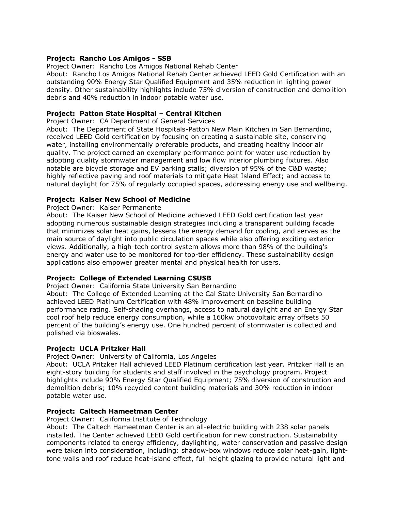# **Project: Rancho Los Amigos - SSB**

Project Owner: Rancho Los Amigos National Rehab Center

About: Rancho Los Amigos National Rehab Center achieved LEED Gold Certification with an outstanding 90% Energy Star Qualified Equipment and 35% reduction in lighting power density. Other sustainability highlights include 75% diversion of construction and demolition debris and 40% reduction in indoor potable water use.

# **Project: Patton State Hospital – Central Kitchen**

Project Owner: CA Department of General Services

About: The Department of State Hospitals-Patton New Main Kitchen in San Bernardino, received LEED Gold certification by focusing on creating a sustainable site, conserving water, installing environmentally preferable products, and creating healthy indoor air quality. The project earned an exemplary performance point for water use reduction by adopting quality stormwater management and low flow interior plumbing fixtures. Also notable are bicycle storage and EV parking stalls; diversion of 95% of the C&D waste; highly reflective paving and roof materials to mitigate Heat Island Effect; and access to natural daylight for 75% of regularly occupied spaces, addressing energy use and wellbeing.

# **Project: Kaiser New School of Medicine**

Project Owner: Kaiser Permanente

About: The Kaiser New School of Medicine achieved LEED Gold certification last year adopting numerous sustainable design strategies including a transparent building facade that minimizes solar heat gains, lessens the energy demand for cooling, and serves as the main source of daylight into public circulation spaces while also offering exciting exterior views. Additionally, a high-tech control system allows more than 98% of the building's energy and water use to be monitored for top-tier efficiency. These sustainability design applications also empower greater mental and physical health for users.

# **Project: College of Extended Learning CSUSB**

Project Owner: California State University San Bernardino

About: The College of Extended Learning at the Cal State University San Bernardino achieved LEED Platinum Certification with 48% improvement on baseline building performance rating. Self-shading overhangs, access to natural daylight and an Energy Star cool roof help reduce energy consumption, while a 160kw photovoltaic array offsets 50 percent of the building's energy use. One hundred percent of stormwater is collected and polished via bioswales.

# **Project: UCLA Pritzker Hall**

Project Owner: University of California, Los Angeles

About: UCLA Pritzker Hall achieved LEED Platinum certification last year. Pritzker Hall is an eight-story building for students and staff involved in the psychology program. Project highlights include 90% Energy Star Qualified Equipment; 75% diversion of construction and demolition debris; 10% recycled content building materials and 30% reduction in indoor potable water use.

# **Project: Caltech Hameetman Center**

Project Owner: California Institute of Technology

About: The Caltech Hameetman Center is an all-electric building with 238 solar panels installed. The Center achieved LEED Gold certification for new construction. Sustainability components related to energy efficiency, daylighting, water conservation and passive design were taken into consideration, including: shadow-box windows reduce solar heat-gain, lighttone walls and roof reduce heat-island effect, full height glazing to provide natural light and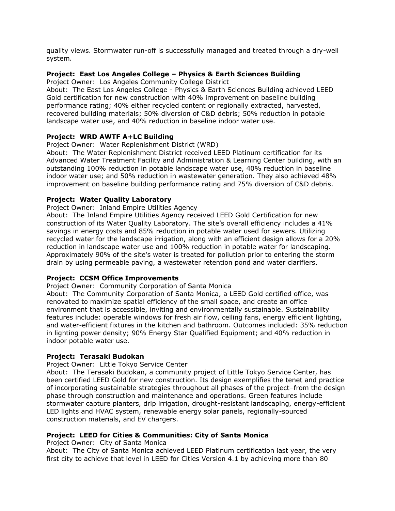quality views. Stormwater run-off is successfully managed and treated through a dry-well system.

# **Project: East Los Angeles College – Physics & Earth Sciences Building**

Project Owner: Los Angeles Community College District

About: The East Los Angeles College - Physics & Earth Sciences Building achieved LEED Gold certification for new construction with 40% improvement on baseline building performance rating; 40% either recycled content or regionally extracted, harvested, recovered building materials; 50% diversion of C&D debris; 50% reduction in potable landscape water use, and 40% reduction in baseline indoor water use.

## **Project: WRD AWTF A+LC Building**

#### Project Owner: Water Replenishment District (WRD)

About: The Water Replenishment District received LEED Platinum certification for its Advanced Water Treatment Facility and Administration & Learning Center building, with an outstanding 100% reduction in potable landscape water use, 40% reduction in baseline indoor water use; and 50% reduction in wastewater generation. They also achieved 48% improvement on baseline building performance rating and 75% diversion of C&D debris.

## **Project: Water Quality Laboratory**

Project Owner: Inland Empire Utilities Agency

About: The Inland Empire Utilities Agency received LEED Gold Certification for new construction of its Water Quality Laboratory. The site's overall efficiency includes a 41% savings in energy costs and 85% reduction in potable water used for sewers. Utilizing recycled water for the landscape irrigation, along with an efficient design allows for a 20% reduction in landscape water use and 100% reduction in potable water for landscaping. Approximately 90% of the site's water is treated for pollution prior to entering the storm drain by using permeable paving, a wastewater retention pond and water clarifiers.

#### **Project: CCSM Office Improvements**

Project Owner: Community Corporation of Santa Monica

About: The Community Corporation of Santa Monica, a LEED Gold certified office, was renovated to maximize spatial efficiency of the small space, and create an office environment that is accessible, inviting and environmentally sustainable. Sustainability features include: operable windows for fresh air flow, ceiling fans, energy efficient lighting, and water-efficient fixtures in the kitchen and bathroom. Outcomes included: 35% reduction in lighting power density; 90% Energy Star Qualified Equipment; and 40% reduction in indoor potable water use.

#### **Project: Terasaki Budokan**

#### Project Owner: Little Tokyo Service Center

About: The Terasaki Budokan, a community project of Little Tokyo Service Center, has been certified LEED Gold for new construction. Its design exemplifies the tenet and practice of incorporating sustainable strategies throughout all phases of the project–from the design phase through construction and maintenance and operations. Green features include stormwater capture planters, drip irrigation, drought-resistant landscaping, energy-efficient LED lights and HVAC system, renewable energy solar panels, regionally-sourced construction materials, and EV chargers.

#### **Project: LEED for Cities & Communities: City of Santa Monica**

Project Owner: City of Santa Monica

About: The City of Santa Monica achieved LEED Platinum certification last year, the very first city to achieve that level in LEED for Cities Version 4.1 by achieving more than 80